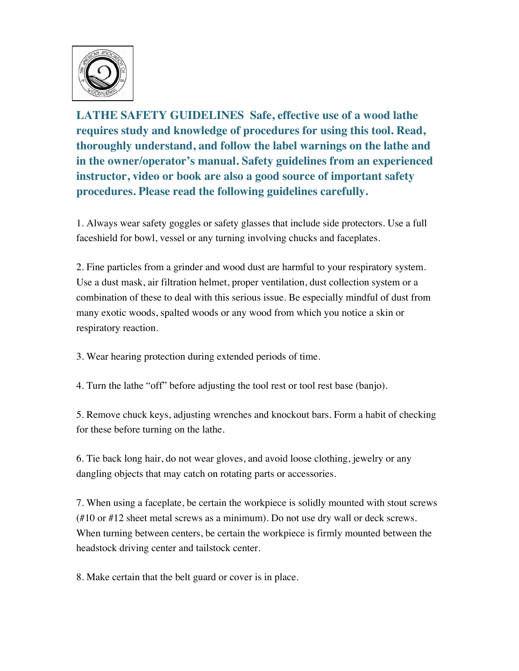

**LATHE SAFETY GUIDELINES Safe, effective use of a wood lathe requires study and knowledge of procedures for using this tool. Read, thoroughly understand, and follow the label warnings on the lathe and in the owner/operator's manual. Safety guidelines from an experienced instructor, video or book are also a good source of important safety procedures. Please read the following guidelines carefully.**

1. Always wear safety goggles or safety glasses that include side protectors. Use a full faceshield for bowl, vessel or any turning involving chucks and faceplates.

2. Fine particles from a grinder and wood dust are harmful to your respiratory system. Use a dust mask, air filtration helmet, proper ventilation, dust collection system or a combination of these to deal with this serious issue. Be especially mindful of dust from many exotic woods, spalted woods or any wood from which you notice a skin or respiratory reaction.

3. Wear hearing protection during extended periods of time.

4. Turn the lathe "off" before adjusting the tool rest or tool rest base (banjo).

5. Remove chuck keys, adjusting wrenches and knockout bars. Form a habit of checking for these before turning on the lathe.

6. Tie back long hair, do not wear gloves, and avoid loose clothing, jewelry or any dangling objects that may catch on rotating parts or accessories.

7. When using a faceplate, be certain the workpiece is solidly mounted with stout screws (#10 or #12 sheet metal screws as a minimum). Do not use dry wall or deck screws. When turning between centers, be certain the workpiece is firmly mounted between the headstock driving center and tailstock center.

8. Make certain that the belt guard or cover is in place.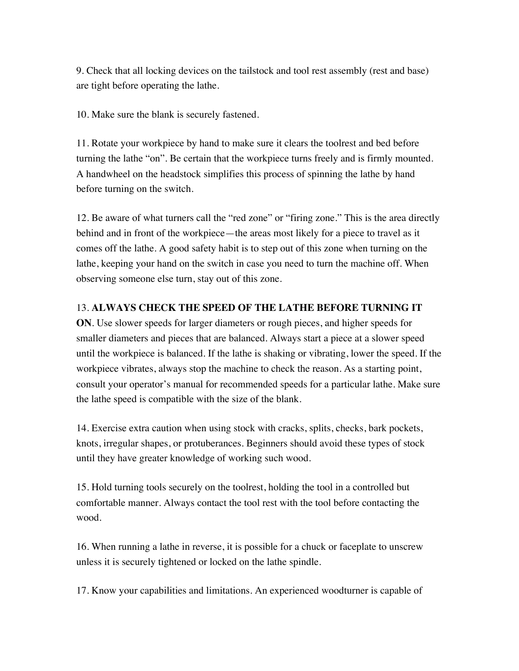9. Check that all locking devices on the tailstock and tool rest assembly (rest and base) are tight before operating the lathe.

10. Make sure the blank is securely fastened.

11. Rotate your workpiece by hand to make sure it clears the toolrest and bed before turning the lathe "on". Be certain that the workpiece turns freely and is firmly mounted. A handwheel on the headstock simplifies this process of spinning the lathe by hand before turning on the switch.

12. Be aware of what turners call the "red zone" or "firing zone." This is the area directly behind and in front of the workpiece—the areas most likely for a piece to travel as it comes off the lathe. A good safety habit is to step out of this zone when turning on the lathe, keeping your hand on the switch in case you need to turn the machine off. When observing someone else turn, stay out of this zone.

## 13. **ALWAYS CHECK THE SPEED OF THE LATHE BEFORE TURNING IT**

**ON**. Use slower speeds for larger diameters or rough pieces, and higher speeds for smaller diameters and pieces that are balanced. Always start a piece at a slower speed until the workpiece is balanced. If the lathe is shaking or vibrating, lower the speed. If the workpiece vibrates, always stop the machine to check the reason. As a starting point, consult your operator's manual for recommended speeds for a particular lathe. Make sure the lathe speed is compatible with the size of the blank.

14. Exercise extra caution when using stock with cracks, splits, checks, bark pockets, knots, irregular shapes, or protuberances. Beginners should avoid these types of stock until they have greater knowledge of working such wood.

15. Hold turning tools securely on the toolrest, holding the tool in a controlled but comfortable manner. Always contact the tool rest with the tool before contacting the wood.

16. When running a lathe in reverse, it is possible for a chuck or faceplate to unscrew unless it is securely tightened or locked on the lathe spindle.

17. Know your capabilities and limitations. An experienced woodturner is capable of